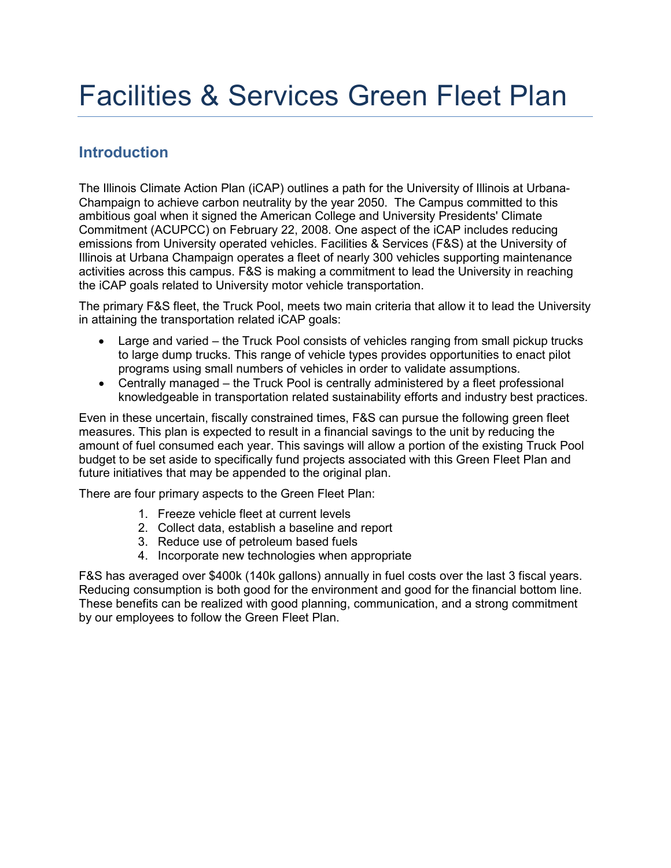# **Introduction**

The Illinois Climate Action Plan (iCAP) outlines a path for the University of Illinois at Urbana-Champaign to achieve carbon neutrality by the year 2050. The Campus committed to this ambitious goal when it signed the American College and University Presidents' Climate Commitment (ACUPCC) on February 22, 2008. One aspect of the iCAP includes reducing emissions from University operated vehicles. Facilities & Services (F&S) at the University of Illinois at Urbana Champaign operates a fleet of nearly 300 vehicles supporting maintenance activities across this campus. F&S is making a commitment to lead the University in reaching the iCAP goals related to University motor vehicle transportation.

The primary F&S fleet, the Truck Pool, meets two main criteria that allow it to lead the University in attaining the transportation related iCAP goals:

- Large and varied the Truck Pool consists of vehicles ranging from small pickup trucks to large dump trucks. This range of vehicle types provides opportunities to enact pilot programs using small numbers of vehicles in order to validate assumptions.
- Centrally managed the Truck Pool is centrally administered by a fleet professional knowledgeable in transportation related sustainability efforts and industry best practices.

Even in these uncertain, fiscally constrained times, F&S can pursue the following green fleet measures. This plan is expected to result in a financial savings to the unit by reducing the amount of fuel consumed each year. This savings will allow a portion of the existing Truck Pool budget to be set aside to specifically fund projects associated with this Green Fleet Plan and future initiatives that may be appended to the original plan.

There are four primary aspects to the Green Fleet Plan:

- 1. Freeze vehicle fleet at current levels
- 2. Collect data, establish a baseline and report
- 3. Reduce use of petroleum based fuels
- 4. Incorporate new technologies when appropriate

F&S has averaged over \$400k (140k gallons) annually in fuel costs over the last 3 fiscal years. Reducing consumption is both good for the environment and good for the financial bottom line. These benefits can be realized with good planning, communication, and a strong commitment by our employees to follow the Green Fleet Plan.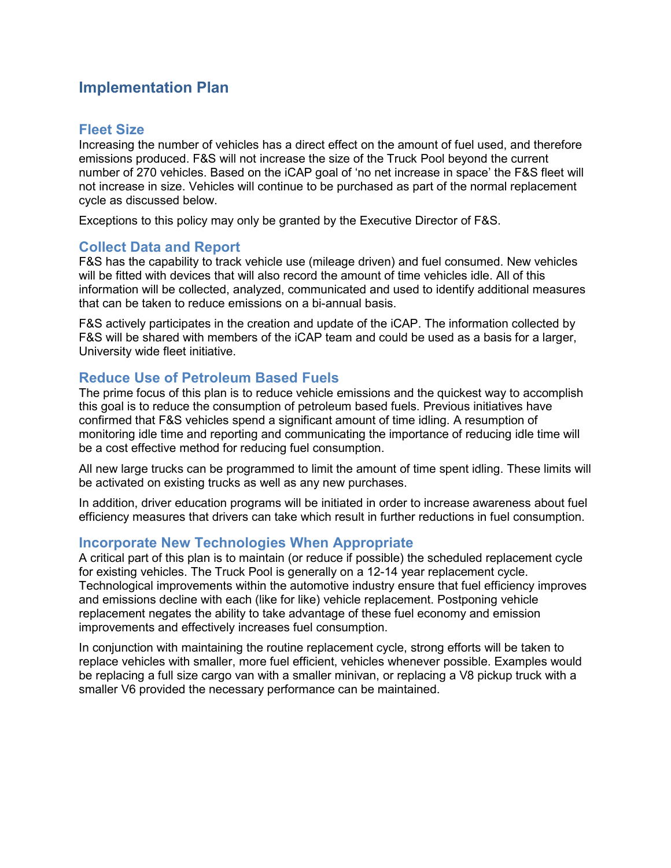## **Implementation Plan**

#### **Fleet Size**

Increasing the number of vehicles has a direct effect on the amount of fuel used, and therefore emissions produced. F&S will not increase the size of the Truck Pool beyond the current number of 270 vehicles. Based on the iCAP goal of 'no net increase in space' the F&S fleet will not increase in size. Vehicles will continue to be purchased as part of the normal replacement cycle as discussed below.

Exceptions to this policy may only be granted by the Executive Director of F&S.

#### **Collect Data and Report**

F&S has the capability to track vehicle use (mileage driven) and fuel consumed. New vehicles will be fitted with devices that will also record the amount of time vehicles idle. All of this information will be collected, analyzed, communicated and used to identify additional measures that can be taken to reduce emissions on a bi-annual basis.

F&S actively participates in the creation and update of the iCAP. The information collected by F&S will be shared with members of the iCAP team and could be used as a basis for a larger, University wide fleet initiative.

### **Reduce Use of Petroleum Based Fuels**

The prime focus of this plan is to reduce vehicle emissions and the quickest way to accomplish this goal is to reduce the consumption of petroleum based fuels. Previous initiatives have confirmed that F&S vehicles spend a significant amount of time idling. A resumption of monitoring idle time and reporting and communicating the importance of reducing idle time will be a cost effective method for reducing fuel consumption.

All new large trucks can be programmed to limit the amount of time spent idling. These limits will be activated on existing trucks as well as any new purchases.

In addition, driver education programs will be initiated in order to increase awareness about fuel efficiency measures that drivers can take which result in further reductions in fuel consumption.

#### **Incorporate New Technologies When Appropriate**

A critical part of this plan is to maintain (or reduce if possible) the scheduled replacement cycle for existing vehicles. The Truck Pool is generally on a 12-14 year replacement cycle. Technological improvements within the automotive industry ensure that fuel efficiency improves and emissions decline with each (like for like) vehicle replacement. Postponing vehicle replacement negates the ability to take advantage of these fuel economy and emission improvements and effectively increases fuel consumption.

In conjunction with maintaining the routine replacement cycle, strong efforts will be taken to replace vehicles with smaller, more fuel efficient, vehicles whenever possible. Examples would be replacing a full size cargo van with a smaller minivan, or replacing a V8 pickup truck with a smaller V6 provided the necessary performance can be maintained.